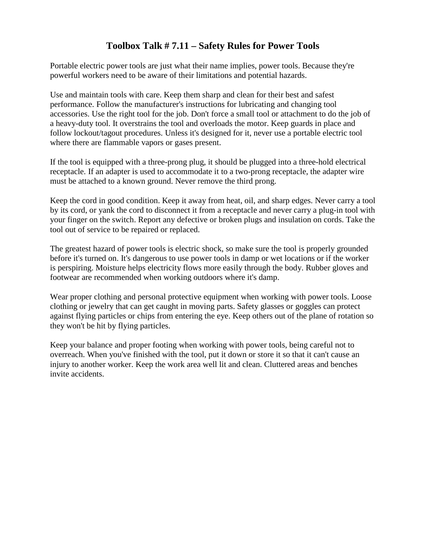## **Toolbox Talk # 7.11 – Safety Rules for Power Tools**

Portable electric power tools are just what their name implies, power tools. Because they're powerful workers need to be aware of their limitations and potential hazards.

Use and maintain tools with care. Keep them sharp and clean for their best and safest performance. Follow the manufacturer's instructions for lubricating and changing tool accessories. Use the right tool for the job. Don't force a small tool or attachment to do the job of a heavy-duty tool. It overstrains the tool and overloads the motor. Keep guards in place and follow lockout/tagout procedures. Unless it's designed for it, never use a portable electric tool where there are flammable vapors or gases present.

If the tool is equipped with a three-prong plug, it should be plugged into a three-hold electrical receptacle. If an adapter is used to accommodate it to a two-prong receptacle, the adapter wire must be attached to a known ground. Never remove the third prong.

Keep the cord in good condition. Keep it away from heat, oil, and sharp edges. Never carry a tool by its cord, or yank the cord to disconnect it from a receptacle and never carry a plug-in tool with your finger on the switch. Report any defective or broken plugs and insulation on cords. Take the tool out of service to be repaired or replaced.

The greatest hazard of power tools is electric shock, so make sure the tool is properly grounded before it's turned on. It's dangerous to use power tools in damp or wet locations or if the worker is perspiring. Moisture helps electricity flows more easily through the body. Rubber gloves and footwear are recommended when working outdoors where it's damp.

Wear proper clothing and personal protective equipment when working with power tools. Loose clothing or jewelry that can get caught in moving parts. Safety glasses or goggles can protect against flying particles or chips from entering the eye. Keep others out of the plane of rotation so they won't be hit by flying particles.

Keep your balance and proper footing when working with power tools, being careful not to overreach. When you've finished with the tool, put it down or store it so that it can't cause an injury to another worker. Keep the work area well lit and clean. Cluttered areas and benches invite accidents.